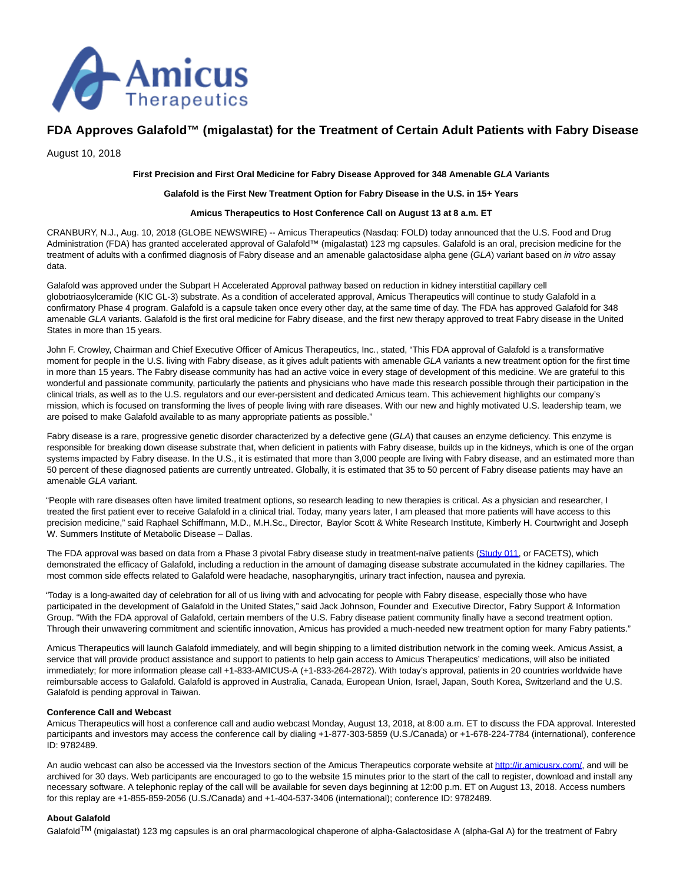

# **FDA Approves Galafold™ (migalastat) for the Treatment of Certain Adult Patients with Fabry Disease**

August 10, 2018

## **First Precision and First Oral Medicine for Fabry Disease Approved for 348 Amenable GLA Variants**

## **Galafold is the First New Treatment Option for Fabry Disease in the U.S. in 15+ Years**

## **Amicus Therapeutics to Host Conference Call on August 13 at 8 a.m. ET**

CRANBURY, N.J., Aug. 10, 2018 (GLOBE NEWSWIRE) -- Amicus Therapeutics (Nasdaq: FOLD) today announced that the U.S. Food and Drug Administration (FDA) has granted accelerated approval of Galafold™ (migalastat) 123 mg capsules. Galafold is an oral, precision medicine for the treatment of adults with a confirmed diagnosis of Fabry disease and an amenable galactosidase alpha gene (GLA) variant based on in vitro assay data.

Galafold was approved under the Subpart H Accelerated Approval pathway based on reduction in kidney interstitial capillary cell globotriaosylceramide (KIC GL-3) substrate. As a condition of accelerated approval, Amicus Therapeutics will continue to study Galafold in a confirmatory Phase 4 program. Galafold is a capsule taken once every other day, at the same time of day. The FDA has approved Galafold for 348 amenable GLA variants. Galafold is the first oral medicine for Fabry disease, and the first new therapy approved to treat Fabry disease in the United States in more than 15 years.

John F. Crowley, Chairman and Chief Executive Officer of Amicus Therapeutics, Inc., stated, "This FDA approval of Galafold is a transformative moment for people in the U.S. living with Fabry disease, as it gives adult patients with amenable GLA variants a new treatment option for the first time in more than 15 years. The Fabry disease community has had an active voice in every stage of development of this medicine. We are grateful to this wonderful and passionate community, particularly the patients and physicians who have made this research possible through their participation in the clinical trials, as well as to the U.S. regulators and our ever-persistent and dedicated Amicus team. This achievement highlights our company's mission, which is focused on transforming the lives of people living with rare diseases. With our new and highly motivated U.S. leadership team, we are poised to make Galafold available to as many appropriate patients as possible."

Fabry disease is a rare, progressive genetic disorder characterized by a defective gene (GLA) that causes an enzyme deficiency. This enzyme is responsible for breaking down disease substrate that, when deficient in patients with Fabry disease, builds up in the kidneys, which is one of the organ systems impacted by Fabry disease. In the U.S., it is estimated that more than 3,000 people are living with Fabry disease, and an estimated more than 50 percent of these diagnosed patients are currently untreated. Globally, it is estimated that 35 to 50 percent of Fabry disease patients may have an amenable GLA variant.

"People with rare diseases often have limited treatment options, so research leading to new therapies is critical. As a physician and researcher, I treated the first patient ever to receive Galafold in a clinical trial. Today, many years later, I am pleased that more patients will have access to this precision medicine," said Raphael Schiffmann, M.D., M.H.Sc., Director, Baylor Scott & White Research Institute, Kimberly H. Courtwright and Joseph W. Summers Institute of Metabolic Disease – Dallas.

The FDA approval was based on data from a Phase 3 pivotal Fabry disease study in treatment-naïve patients [\(Study 011,](https://www.globenewswire.com/Tracker?data=fhlcSW_ZPjCAsNRJ-9o76b-FZ5q08z4N2ZghVsN5obvEn6fGVqvneXfJ2RtXYCguvb6pG-syLKiPHB4QmncfQbCv2ndMCwDZTjVEIBKOuKqmSKLmqwdZyREYsln3-1Ly) or FACETS), which demonstrated the efficacy of Galafold, including a reduction in the amount of damaging disease substrate accumulated in the kidney capillaries. The most common side effects related to Galafold were headache, nasopharyngitis, urinary tract infection, nausea and pyrexia.

"Today is a long-awaited day of celebration for all of us living with and advocating for people with Fabry disease, especially those who have participated in the development of Galafold in the United States," said Jack Johnson, Founder and Executive Director, Fabry Support & Information Group. "With the FDA approval of Galafold, certain members of the U.S. Fabry disease patient community finally have a second treatment option. Through their unwavering commitment and scientific innovation, Amicus has provided a much-needed new treatment option for many Fabry patients."

Amicus Therapeutics will launch Galafold immediately, and will begin shipping to a limited distribution network in the coming week. Amicus Assist, a service that will provide product assistance and support to patients to help gain access to Amicus Therapeutics' medications, will also be initiated immediately; for more information please call +1-833-AMICUS-A (+1-833-264-2872). With today's approval, patients in 20 countries worldwide have reimbursable access to Galafold. Galafold is approved in Australia, Canada, European Union, Israel, Japan, South Korea, Switzerland and the U.S. Galafold is pending approval in Taiwan.

## **Conference Call and Webcast**

Amicus Therapeutics will host a conference call and audio webcast Monday, August 13, 2018, at 8:00 a.m. ET to discuss the FDA approval. Interested participants and investors may access the conference call by dialing +1-877-303-5859 (U.S./Canada) or +1-678-224-7784 (international), conference ID: 9782489.

An audio webcast can also be accessed via the Investors section of the Amicus Therapeutics corporate website a[t http://ir.amicusrx.com/,](https://www.globenewswire.com/Tracker?data=n4OoI0rFxOaXlDnkMYu6aDrRGyNJryYo5G1ZnVrpfAsyBqvVw5eanc8y2-Hed0Ezz0spmIwlfOiN_8RR18K81ByOV-NZH10_JCASFWjBOAk=) and will be archived for 30 days. Web participants are encouraged to go to the website 15 minutes prior to the start of the call to register, download and install any necessary software. A telephonic replay of the call will be available for seven days beginning at 12:00 p.m. ET on August 13, 2018. Access numbers for this replay are +1-855-859-2056 (U.S./Canada) and +1-404-537-3406 (international); conference ID: 9782489.

# **About Galafold**

Galafold<sup>TM</sup> (migalastat) 123 mg capsules is an oral pharmacological chaperone of alpha-Galactosidase A (alpha-Gal A) for the treatment of Fabry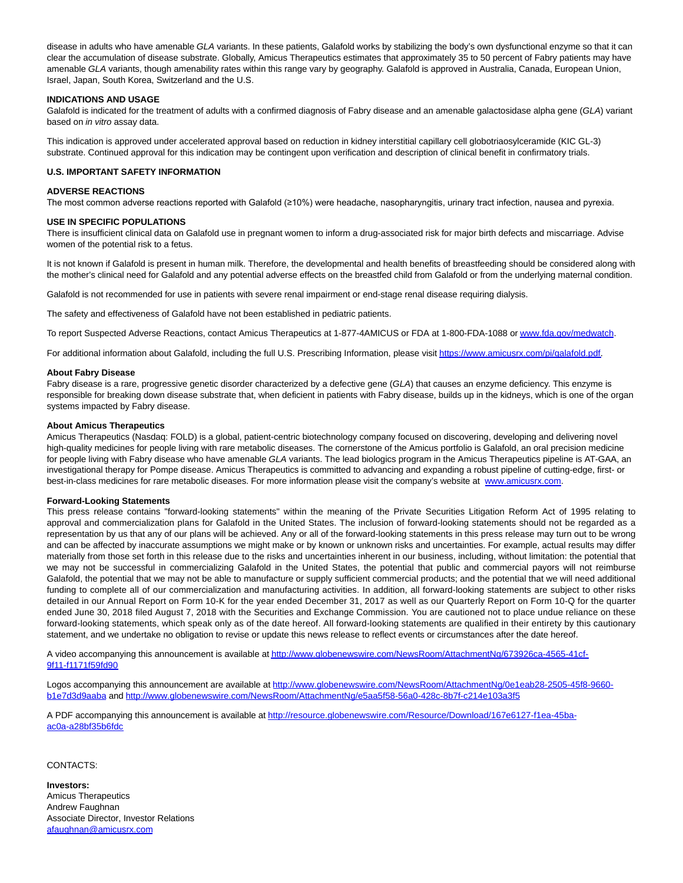disease in adults who have amenable GLA variants. In these patients, Galafold works by stabilizing the body's own dysfunctional enzyme so that it can clear the accumulation of disease substrate. Globally, Amicus Therapeutics estimates that approximately 35 to 50 percent of Fabry patients may have amenable GLA variants, though amenability rates within this range vary by geography. Galafold is approved in Australia, Canada, European Union, Israel, Japan, South Korea, Switzerland and the U.S.

# **INDICATIONS AND USAGE**

Galafold is indicated for the treatment of adults with a confirmed diagnosis of Fabry disease and an amenable galactosidase alpha gene (GLA) variant based on in vitro assay data.

This indication is approved under accelerated approval based on reduction in kidney interstitial capillary cell globotriaosylceramide (KIC GL-3) substrate. Continued approval for this indication may be contingent upon verification and description of clinical benefit in confirmatory trials.

# **U.S. IMPORTANT SAFETY INFORMATION**

## **ADVERSE REACTIONS**

The most common adverse reactions reported with Galafold (≥10%) were headache, nasopharyngitis, urinary tract infection, nausea and pyrexia.

## **USE IN SPECIFIC POPULATIONS**

There is insufficient clinical data on Galafold use in pregnant women to inform a drug-associated risk for major birth defects and miscarriage. Advise women of the potential risk to a fetus.

It is not known if Galafold is present in human milk. Therefore, the developmental and health benefits of breastfeeding should be considered along with the mother's clinical need for Galafold and any potential adverse effects on the breastfed child from Galafold or from the underlying maternal condition.

Galafold is not recommended for use in patients with severe renal impairment or end-stage renal disease requiring dialysis.

The safety and effectiveness of Galafold have not been established in pediatric patients.

To report Suspected Adverse Reactions, contact Amicus Therapeutics at 1-877-4AMICUS or FDA at 1-800-FDA-1088 o[r www.fda.gov/medwatch.](https://www.globenewswire.com/Tracker?data=setymmlZ2qtbqa5hKRvlX9TWXGhCUiFiaR0E8pE9lzvK8rcHsZRdy2XPxcfOf3Pak1ShMsPbjGHRndjtANHWyYRpPqm4cZz3HNn8P2HPVdI=)

For additional information about Galafold, including the full U.S. Prescribing Information, please visi[t https://www.amicusrx.com/pi/galafold.pdf.](https://www.globenewswire.com/Tracker?data=UhoaQa1TbFlqM0yyh8Vjonx1jJxy_MBf2QA9vzaoI2QGNDZTW-ab7QzOFuV_yqA0qm-Z0z9ZGKA8Ci4vu_hNG1ERpE5qpv8UKZpaMNFkHRa1f1Cuqc3yrUJHQrd7qjLCAmyEbvVQWbGAZ7MqM7ZZwg==)

#### **About Fabry Disease**

Fabry disease is a rare, progressive genetic disorder characterized by a defective gene (GLA) that causes an enzyme deficiency. This enzyme is responsible for breaking down disease substrate that, when deficient in patients with Fabry disease, builds up in the kidneys, which is one of the organ systems impacted by Fabry disease.

## **About Amicus Therapeutics**

Amicus Therapeutics (Nasdaq: FOLD) is a global, patient-centric biotechnology company focused on discovering, developing and delivering novel high-quality medicines for people living with rare metabolic diseases. The cornerstone of the Amicus portfolio is Galafold, an oral precision medicine for people living with Fabry disease who have amenable GLA variants. The lead biologics program in the Amicus Therapeutics pipeline is AT-GAA, an investigational therapy for Pompe disease. Amicus Therapeutics is committed to advancing and expanding a robust pipeline of cutting-edge, first- or best-in-class medicines for rare metabolic diseases. For more information please visit the company's website at [www.amicusrx.com.](https://www.globenewswire.com/Tracker?data=GBt9Zgury_M_tnFkG5G5xhuvaSgh3_LHKALtWTdRLim8m5jmYCdMcBVEVpVprv0QuRvCMQTOpR5f4_sb4HF5RA==)

## **Forward-Looking Statements**

This press release contains "forward-looking statements" within the meaning of the Private Securities Litigation Reform Act of 1995 relating to approval and commercialization plans for Galafold in the United States. The inclusion of forward-looking statements should not be regarded as a representation by us that any of our plans will be achieved. Any or all of the forward-looking statements in this press release may turn out to be wrong and can be affected by inaccurate assumptions we might make or by known or unknown risks and uncertainties. For example, actual results may differ materially from those set forth in this release due to the risks and uncertainties inherent in our business, including, without limitation: the potential that we may not be successful in commercializing Galafold in the United States, the potential that public and commercial payors will not reimburse Galafold, the potential that we may not be able to manufacture or supply sufficient commercial products; and the potential that we will need additional funding to complete all of our commercialization and manufacturing activities. In addition, all forward-looking statements are subject to other risks detailed in our Annual Report on Form 10-K for the year ended December 31, 2017 as well as our Quarterly Report on Form 10-Q for the quarter ended June 30, 2018 filed August 7, 2018 with the Securities and Exchange Commission. You are cautioned not to place undue reliance on these forward-looking statements, which speak only as of the date hereof. All forward-looking statements are qualified in their entirety by this cautionary statement, and we undertake no obligation to revise or update this news release to reflect events or circumstances after the date hereof.

A video accompanying this announcement is available a[t http://www.globenewswire.com/NewsRoom/AttachmentNg/673926ca-4565-41cf-](https://www.globenewswire.com/Tracker?data=n4OoI0rFxOaXlDnkMYu6aI2k0wWflDn__lE4qi81AoB0q6Ggidh-hugT4cqDi8JvqxBPUorJcoEyCjssSGzoPuMldmyL0B9Cie7vdaH7bKWyKVW95uyr3hGkd_ukJtPIr7-tUNH8XkxM4P0E8ECP8xcdOzkBvuDFBU7E41j_NFHY1_nWVFElLqnBf0k805vxU2hF7NSu7fv_176nSWoKFEvJHUK19iRIcij0kbAWH-Q0dW0nUV4CX1EWIvZiLZTpe9IWV5W7VqqCEdepWzuJhQ==)9f11-f1171f59fd90

Logos accompanying this announcement are available at [http://www.globenewswire.com/NewsRoom/AttachmentNg/0e1eab28-2505-45f8-9660](https://www.globenewswire.com/Tracker?data=n4OoI0rFxOaXlDnkMYu6aI2k0wWflDn__lE4qi81AoB0q6Ggidh-hugT4cqDi8JvVGWIAPrV-eN46IYRodXE6yzaUAqC4u452NGALCn5q91gaaXOybzX2ctrjPZYhVr2PyGgr0uxFYzHCNMyqmRNhQ92WYQQFAkYRCjZ7TMvP37C0yfGvTNJ4mxt1_A6lDDa2DugUc4YbsT8WEg6JHKUw4-R8zpJOCDeB4HMD38ke8GV0DKjaaOiJnVaMZ481X9wpohFYzHubfnQuxw5cob-Sg==) b1e7d3d9aaba and [http://www.globenewswire.com/NewsRoom/AttachmentNg/e5aa5f58-56a0-428c-8b7f-c214e103a3f5](https://www.globenewswire.com/Tracker?data=n4OoI0rFxOaXlDnkMYu6aI2k0wWflDn__lE4qi81AoB0q6Ggidh-hugT4cqDi8Jv3Dxv08k2WUqx-UaUzpcIK9AGS-JF_QP-1M0ES5O9Q1i6IoQgtijHlf7PEJRLvM76yEgldRhot91loMlMQcy69PCYP7JwV9udDJhCpe_Eq-XzdtFhhXa_ER3SLL827G8cQ1c_ac_f8hivgtYlY9e8FdjJ3k9rC-pnKStR3Wjb-g8KxNAYhUtXr27Tr5z5aZxhN_7pMvNm4yUQ0TLo38y8DQ==)

A PDF accompanying this announcement is available a[t http://resource.globenewswire.com/Resource/Download/167e6127-f1ea-45ba](https://www.globenewswire.com/Tracker?data=n4OoI0rFxOaXlDnkMYu6aDIJFIbX8vo1-phnT3AG7OwmtD6qffIYNqu0ovKduR5qoLZsJotRBQDXPtPMUw3MYGpFeKuKg4dp581VIkEH1RaP-OkWm6H8Vki2nqs6xdMoAwwzWqF0FWtqGUr1SGZAJVCkpTkclWK8frhOU_0R2ZkaUQ0tjGKLoRlTXUT8O2QvN-r7BaCXaLUZxOvpLIEvMvUfDCdsAmtUwTQoEKWy5ZBENNOXE18Yv1fzUEFZOWfdgB2YxV0HZ7REegMmL-YftQ==)ac0a-a28bf35b6fdc

CONTACTS:

**Investors:** Amicus Therapeutics Andrew Faughnan Associate Director, Investor Relations [afaughnan@amicusrx.com](https://www.globenewswire.com/Tracker?data=r5_jhCBOt6-aGbJD4CO_U8cb7V9e6jtoBtb_LrfV5HHfdcPTq37HQYgrCd0uS5m_Q0JDKtwzt1WYKfZMt-hQ_7WNypz-54aoEihPoLdMzScXTGm56XnQzFSdJeGme5UnDVpIggmlHb3vjnlZl5L2l-TE44j1Jsm95CyYIbNaZDcd2hd59niTe9JQAmd5TSwcYb94brceyWc-aSBCteNQ2WG5OLzjCltHIv7bU3vzEb_AfILab9TMnbbJD0K4EftLH-AnsMclW5cRH8DDJDV88A==)